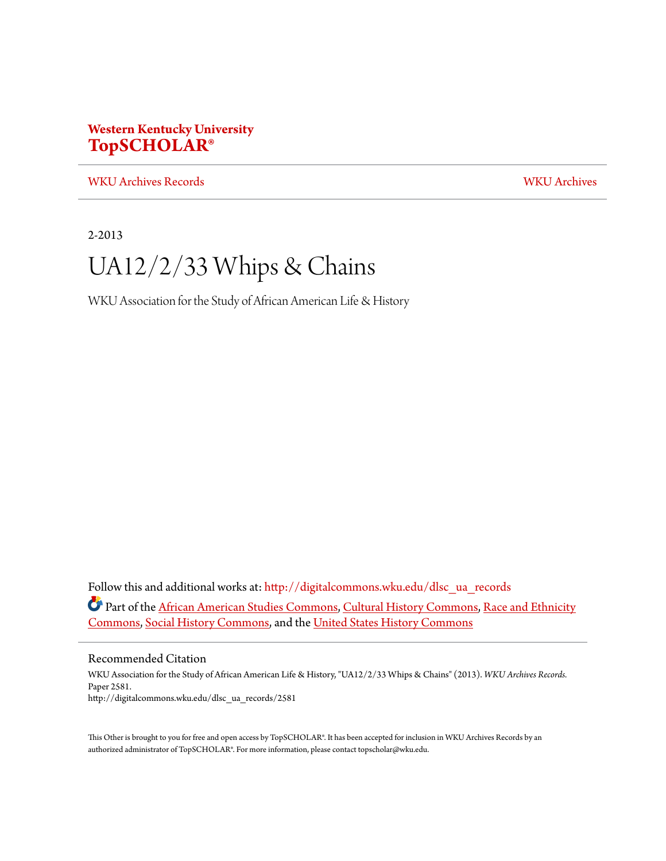## **Western Kentucky University [TopSCHOLAR®](http://digitalcommons.wku.edu?utm_source=digitalcommons.wku.edu%2Fdlsc_ua_records%2F2581&utm_medium=PDF&utm_campaign=PDFCoverPages)**

[WKU Archives Records](http://digitalcommons.wku.edu/dlsc_ua_records?utm_source=digitalcommons.wku.edu%2Fdlsc_ua_records%2F2581&utm_medium=PDF&utm_campaign=PDFCoverPages) [WKU Archives](http://digitalcommons.wku.edu/dlsc_ua?utm_source=digitalcommons.wku.edu%2Fdlsc_ua_records%2F2581&utm_medium=PDF&utm_campaign=PDFCoverPages)

2-2013

## UA12/2/33 Whips & Chains

WKU Association for the Study of African American Life & History

Follow this and additional works at: [http://digitalcommons.wku.edu/dlsc\\_ua\\_records](http://digitalcommons.wku.edu/dlsc_ua_records?utm_source=digitalcommons.wku.edu%2Fdlsc_ua_records%2F2581&utm_medium=PDF&utm_campaign=PDFCoverPages) Part of the [African American Studies Commons,](http://network.bepress.com/hgg/discipline/567?utm_source=digitalcommons.wku.edu%2Fdlsc_ua_records%2F2581&utm_medium=PDF&utm_campaign=PDFCoverPages) [Cultural History Commons,](http://network.bepress.com/hgg/discipline/496?utm_source=digitalcommons.wku.edu%2Fdlsc_ua_records%2F2581&utm_medium=PDF&utm_campaign=PDFCoverPages) [Race and Ethnicity](http://network.bepress.com/hgg/discipline/426?utm_source=digitalcommons.wku.edu%2Fdlsc_ua_records%2F2581&utm_medium=PDF&utm_campaign=PDFCoverPages) [Commons,](http://network.bepress.com/hgg/discipline/426?utm_source=digitalcommons.wku.edu%2Fdlsc_ua_records%2F2581&utm_medium=PDF&utm_campaign=PDFCoverPages) [Social History Commons,](http://network.bepress.com/hgg/discipline/506?utm_source=digitalcommons.wku.edu%2Fdlsc_ua_records%2F2581&utm_medium=PDF&utm_campaign=PDFCoverPages) and the [United States History Commons](http://network.bepress.com/hgg/discipline/495?utm_source=digitalcommons.wku.edu%2Fdlsc_ua_records%2F2581&utm_medium=PDF&utm_campaign=PDFCoverPages)

Recommended Citation

WKU Association for the Study of African American Life & History, "UA12/2/33 Whips & Chains" (2013). *WKU Archives Records.* Paper 2581. http://digitalcommons.wku.edu/dlsc\_ua\_records/2581

This Other is brought to you for free and open access by TopSCHOLAR®. It has been accepted for inclusion in WKU Archives Records by an authorized administrator of TopSCHOLAR®. For more information, please contact topscholar@wku.edu.